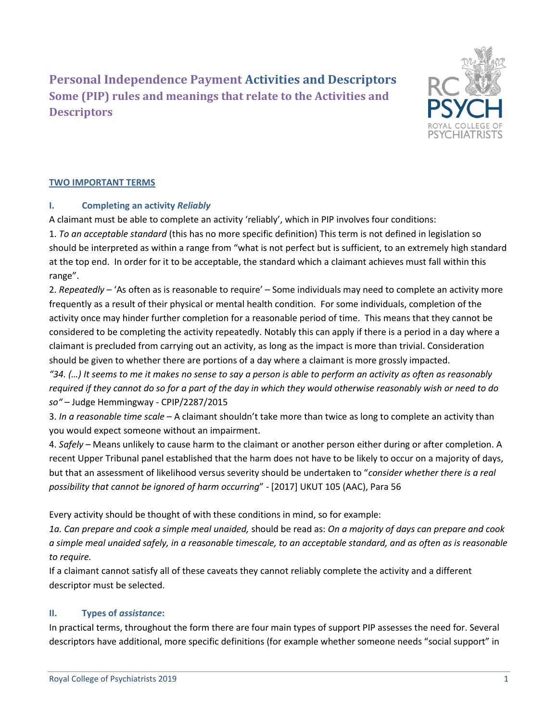**Personal Independence Payment Activities and Descriptors Some (PIP) rules and meanings that relate to the Activities and Descriptors** 



# **TWO IMPORTANT TERMS**

### **I. Completing an activity** *Reliably*

A claimant must be able to complete an activity 'reliably', which in PIP involves four conditions: 1. *To an acceptable standard* (this has no more specific definition) This term is not defined in legislation so should be interpreted as within a range from "what is not perfect but is sufficient, to an extremely high standard at the top end. In order for it to be acceptable, the standard which a claimant achieves must fall within this range".

2. *Repeatedly* – 'As often as is reasonable to require' – Some individuals may need to complete an activity more frequently as a result of their physical or mental health condition. For some individuals, completion of the activity once may hinder further completion for a reasonable period of time. This means that they cannot be considered to be completing the activity repeatedly. Notably this can apply if there is a period in a day where a claimant is precluded from carrying out an activity, as long as the impact is more than trivial. Consideration should be given to whether there are portions of a day where a claimant is more grossly impacted.

*"34. (…) It seems to me it makes no sense to say a person is able to perform an activity as often as reasonably required if they cannot do so for a part of the day in which they would otherwise reasonably wish or need to do so"* – Judge Hemmingway - CPIP/2287/2015

3. *In a reasonable time scale* – A claimant shouldn't take more than twice as long to complete an activity than you would expect someone without an impairment.

4. *Safely* – Means unlikely to cause harm to the claimant or another person either during or after completion. A recent Upper Tribunal panel established that the harm does not have to be likely to occur on a majority of days, but that an assessment of likelihood versus severity should be undertaken to "*consider whether there is a real possibility that cannot be ignored of harm occurring*" - [2017] UKUT 105 (AAC), Para 56

Every activity should be thought of with these conditions in mind, so for example:

*1a. Can prepare and cook a simple meal unaided,* should be read as: *On a majority of days can prepare and cook a simple meal unaided safely, in a reasonable timescale, to an acceptable standard, and as often as is reasonable to require.*

If a claimant cannot satisfy all of these caveats they cannot reliably complete the activity and a different descriptor must be selected.

# **II. Types of** *assistance***:**

In practical terms, throughout the form there are four main types of support PIP assesses the need for. Several descriptors have additional, more specific definitions (for example whether someone needs "social support" in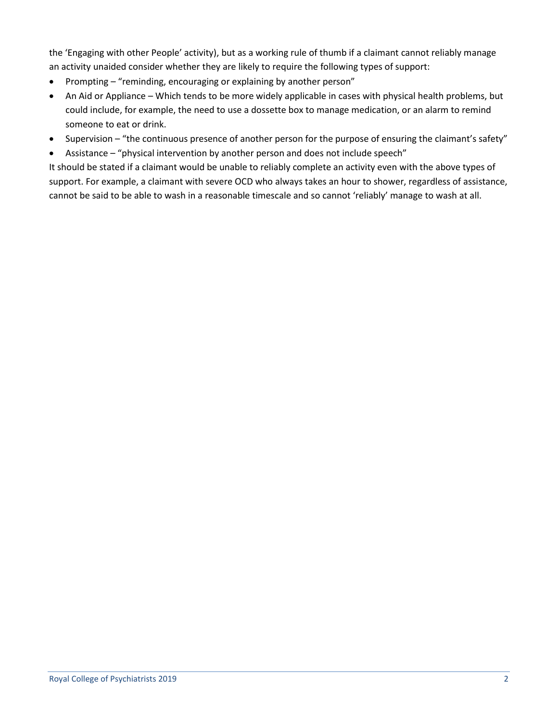the 'Engaging with other People' activity), but as a working rule of thumb if a claimant cannot reliably manage an activity unaided consider whether they are likely to require the following types of support:

- Prompting "reminding, encouraging or explaining by another person"
- An Aid or Appliance Which tends to be more widely applicable in cases with physical health problems, but could include, for example, the need to use a dossette box to manage medication, or an alarm to remind someone to eat or drink.
- Supervision "the continuous presence of another person for the purpose of ensuring the claimant's safety"
- Assistance "physical intervention by another person and does not include speech"

It should be stated if a claimant would be unable to reliably complete an activity even with the above types of support. For example, a claimant with severe OCD who always takes an hour to shower, regardless of assistance, cannot be said to be able to wash in a reasonable timescale and so cannot 'reliably' manage to wash at all.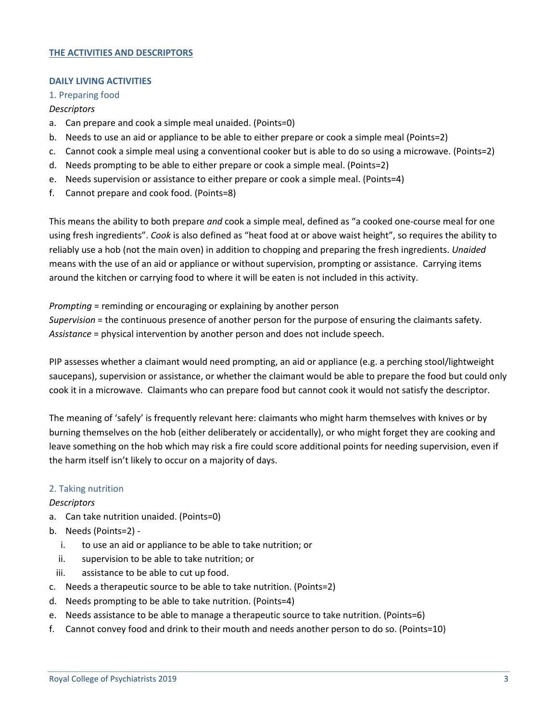### **THE ACTIVITIES AND DESCRIPTORS**

#### **DAILY LIVING ACTIVITIES**

#### 1. Preparing food

#### *Descriptors*

- a. Can prepare and cook a simple meal unaided. (Points=0)
- b. Needs to use an aid or appliance to be able to either prepare or cook a simple meal (Points=2)
- c. Cannot cook a simple meal using a conventional cooker but is able to do so using a microwave. (Points=2)
- d. Needs prompting to be able to either prepare or cook a simple meal. (Points=2)
- e. Needs supervision or assistance to either prepare or cook a simple meal. (Points=4)
- f. Cannot prepare and cook food. (Points=8)

This means the ability to both prepare *and* cook a simple meal, defined as "a cooked one-course meal for one using fresh ingredients". *Cook* is also defined as "heat food at or above waist height", so requires the ability to reliably use a hob (not the main oven) in addition to chopping and preparing the fresh ingredients. *Unaided* means with the use of an aid or appliance or without supervision, prompting or assistance. Carrying items around the kitchen or carrying food to where it will be eaten is not included in this activity.

*Prompting* = reminding or encouraging or explaining by another person *Supervision* = the continuous presence of another person for the purpose of ensuring the claimants safety. *Assistance* = physical intervention by another person and does not include speech.

PIP assesses whether a claimant would need prompting, an aid or appliance (e.g. a perching stool/lightweight saucepans), supervision or assistance, or whether the claimant would be able to prepare the food but could only cook it in a microwave. Claimants who can prepare food but cannot cook it would not satisfy the descriptor.

The meaning of 'safely' is frequently relevant here: claimants who might harm themselves with knives or by burning themselves on the hob (either deliberately or accidentally), or who might forget they are cooking and leave something on the hob which may risk a fire could score additional points for needing supervision, even if the harm itself isn't likely to occur on a majority of days.

#### 2. Taking nutrition

#### *Descriptors*

- a. Can take nutrition unaided. (Points=0)
- b. Needs (Points=2)
	- i. to use an aid or appliance to be able to take nutrition; or
	- ii. supervision to be able to take nutrition; or
	- iii. assistance to be able to cut up food.
- c. Needs a therapeutic source to be able to take nutrition. (Points=2)
- d. Needs prompting to be able to take nutrition. (Points=4)
- e. Needs assistance to be able to manage a therapeutic source to take nutrition. (Points=6)
- f. Cannot convey food and drink to their mouth and needs another person to do so. (Points=10)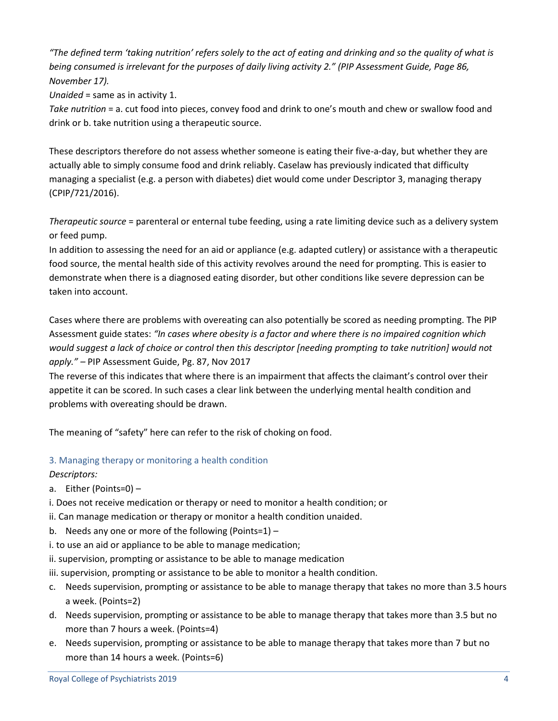*"The defined term 'taking nutrition' refers solely to the act of eating and drinking and so the quality of what is being consumed is irrelevant for the purposes of daily living activity 2." (PIP Assessment Guide, Page 86, November 17).*

*Unaided* = same as in activity 1.

*Take nutrition* = a. cut food into pieces, convey food and drink to one's mouth and chew or swallow food and drink or b. take nutrition using a therapeutic source.

These descriptors therefore do not assess whether someone is eating their five-a-day, but whether they are actually able to simply consume food and drink reliably. Caselaw has previously indicated that difficulty managing a specialist (e.g. a person with diabetes) diet would come under Descriptor 3, managing therapy (CPIP/721/2016).

*Therapeutic source* = parenteral or enternal tube feeding, using a rate limiting device such as a delivery system or feed pump.

In addition to assessing the need for an aid or appliance (e.g. adapted cutlery) or assistance with a therapeutic food source, the mental health side of this activity revolves around the need for prompting. This is easier to demonstrate when there is a diagnosed eating disorder, but other conditions like severe depression can be taken into account.

Cases where there are problems with overeating can also potentially be scored as needing prompting. The PIP Assessment guide states: *"In cases where obesity is a factor and where there is no impaired cognition which would suggest a lack of choice or control then this descriptor [needing prompting to take nutrition] would not apply." –* PIP Assessment Guide, Pg. 87, Nov 2017

The reverse of this indicates that where there is an impairment that affects the claimant's control over their appetite it can be scored. In such cases a clear link between the underlying mental health condition and problems with overeating should be drawn.

The meaning of "safety" here can refer to the risk of choking on food.

# 3. Managing therapy or monitoring a health condition

# *Descriptors:*

- a. Either (Points=0) –
- i. Does not receive medication or therapy or need to monitor a health condition; or
- ii. Can manage medication or therapy or monitor a health condition unaided.
- b. Needs any one or more of the following (Points=1) –
- i. to use an aid or appliance to be able to manage medication;
- ii. supervision, prompting or assistance to be able to manage medication
- iii. supervision, prompting or assistance to be able to monitor a health condition.
- c. Needs supervision, prompting or assistance to be able to manage therapy that takes no more than 3.5 hours a week. (Points=2)
- d. Needs supervision, prompting or assistance to be able to manage therapy that takes more than 3.5 but no more than 7 hours a week. (Points=4)
- e. Needs supervision, prompting or assistance to be able to manage therapy that takes more than 7 but no more than 14 hours a week. (Points=6)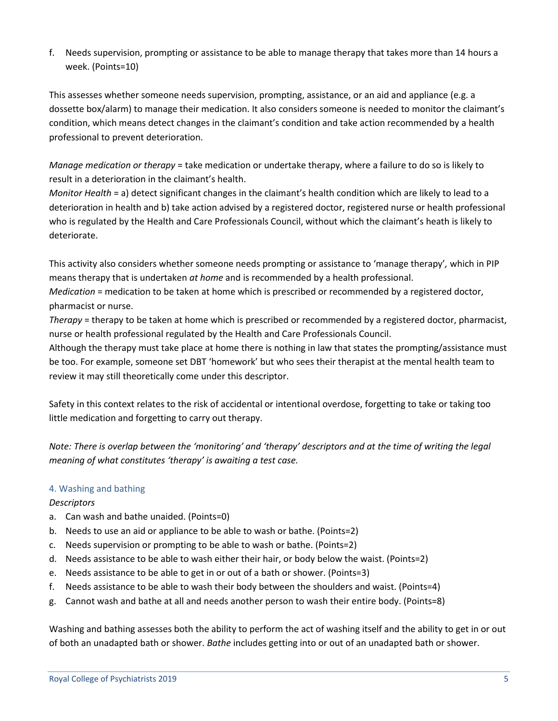f. Needs supervision, prompting or assistance to be able to manage therapy that takes more than 14 hours a week. (Points=10)

This assesses whether someone needs supervision, prompting, assistance, or an aid and appliance (e.g. a dossette box/alarm) to manage their medication. It also considers someone is needed to monitor the claimant's condition, which means detect changes in the claimant's condition and take action recommended by a health professional to prevent deterioration.

*Manage medication or therapy* = take medication or undertake therapy, where a failure to do so is likely to result in a deterioration in the claimant's health.

*Monitor Health* = a) detect significant changes in the claimant's health condition which are likely to lead to a deterioration in health and b) take action advised by a registered doctor, registered nurse or health professional who is regulated by the Health and Care Professionals Council, without which the claimant's heath is likely to deteriorate.

This activity also considers whether someone needs prompting or assistance to 'manage therapy'*,* which in PIP means therapy that is undertaken *at home* and is recommended by a health professional.

*Medication* = medication to be taken at home which is prescribed or recommended by a registered doctor, pharmacist or nurse.

*Therapy* = therapy to be taken at home which is prescribed or recommended by a registered doctor, pharmacist, nurse or health professional regulated by the Health and Care Professionals Council.

Although the therapy must take place at home there is nothing in law that states the prompting/assistance must be too. For example, someone set DBT 'homework' but who sees their therapist at the mental health team to review it may still theoretically come under this descriptor.

Safety in this context relates to the risk of accidental or intentional overdose, forgetting to take or taking too little medication and forgetting to carry out therapy.

*Note: There is overlap between the 'monitoring' and 'therapy' descriptors and at the time of writing the legal meaning of what constitutes 'therapy' is awaiting a test case.*

# 4. Washing and bathing

# *Descriptors*

- a. Can wash and bathe unaided. (Points=0)
- b. Needs to use an aid or appliance to be able to wash or bathe. (Points=2)
- c. Needs supervision or prompting to be able to wash or bathe. (Points=2)
- d. Needs assistance to be able to wash either their hair, or body below the waist. (Points=2)
- e. Needs assistance to be able to get in or out of a bath or shower. (Points=3)
- f. Needs assistance to be able to wash their body between the shoulders and waist. (Points=4)
- g. Cannot wash and bathe at all and needs another person to wash their entire body. (Points=8)

Washing and bathing assesses both the ability to perform the act of washing itself and the ability to get in or out of both an unadapted bath or shower. *Bathe* includes getting into or out of an unadapted bath or shower.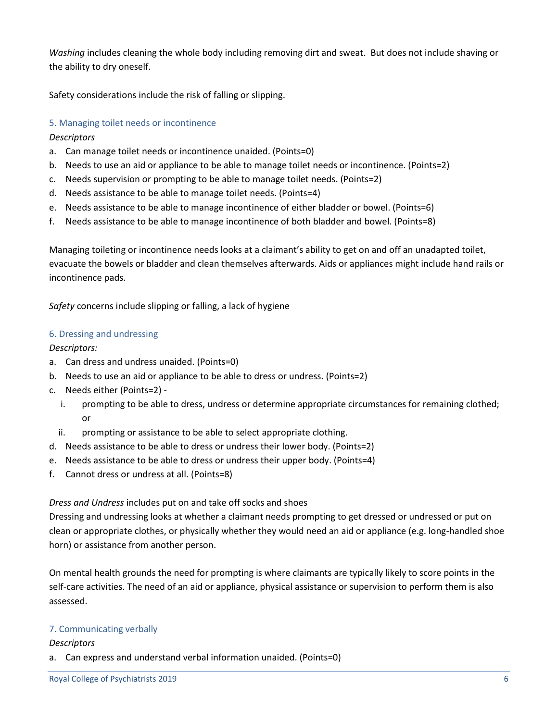*Washing* includes cleaning the whole body including removing dirt and sweat. But does not include shaving or the ability to dry oneself.

Safety considerations include the risk of falling or slipping.

## 5. Managing toilet needs or incontinence

### *Descriptors*

- a. Can manage toilet needs or incontinence unaided. (Points=0)
- b. Needs to use an aid or appliance to be able to manage toilet needs or incontinence. (Points=2)
- c. Needs supervision or prompting to be able to manage toilet needs. (Points=2)
- d. Needs assistance to be able to manage toilet needs. (Points=4)
- e. Needs assistance to be able to manage incontinence of either bladder or bowel. (Points=6)
- f. Needs assistance to be able to manage incontinence of both bladder and bowel. (Points=8)

Managing toileting or incontinence needs looks at a claimant's ability to get on and off an unadapted toilet, evacuate the bowels or bladder and clean themselves afterwards. Aids or appliances might include hand rails or incontinence pads.

*Safety* concerns include slipping or falling, a lack of hygiene

#### 6. Dressing and undressing

#### *Descriptors:*

- a. Can dress and undress unaided. (Points=0)
- b. Needs to use an aid or appliance to be able to dress or undress. (Points=2)
- c. Needs either (Points=2)
	- i. prompting to be able to dress, undress or determine appropriate circumstances for remaining clothed; or
	- ii. prompting or assistance to be able to select appropriate clothing.
- d. Needs assistance to be able to dress or undress their lower body. (Points=2)
- e. Needs assistance to be able to dress or undress their upper body. (Points=4)
- f. Cannot dress or undress at all. (Points=8)

*Dress and Undress* includes put on and take off socks and shoes

Dressing and undressing looks at whether a claimant needs prompting to get dressed or undressed or put on clean or appropriate clothes, or physically whether they would need an aid or appliance (e.g. long-handled shoe horn) or assistance from another person.

On mental health grounds the need for prompting is where claimants are typically likely to score points in the self-care activities. The need of an aid or appliance, physical assistance or supervision to perform them is also assessed.

#### 7. Communicating verbally

#### *Descriptors*

a. Can express and understand verbal information unaided. (Points=0)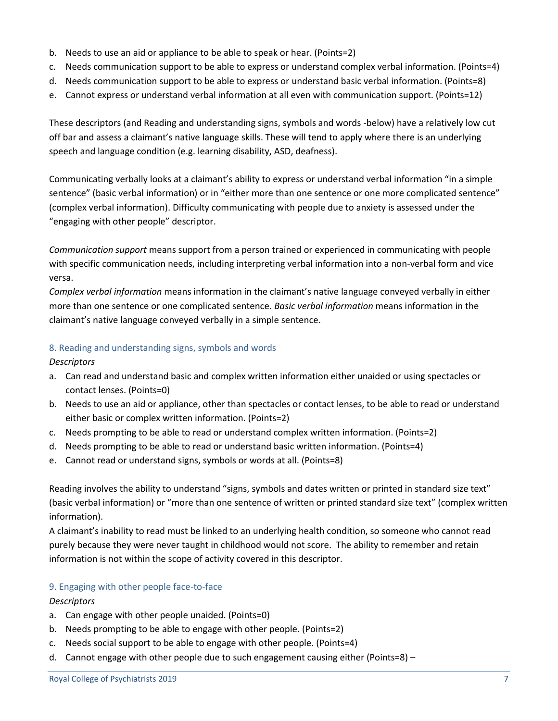- b. Needs to use an aid or appliance to be able to speak or hear. (Points=2)
- c. Needs communication support to be able to express or understand complex verbal information. (Points=4)
- d. Needs communication support to be able to express or understand basic verbal information. (Points=8)
- e. Cannot express or understand verbal information at all even with communication support. (Points=12)

These descriptors (and Reading and understanding signs, symbols and words -below) have a relatively low cut off bar and assess a claimant's native language skills. These will tend to apply where there is an underlying speech and language condition (e.g. learning disability, ASD, deafness).

Communicating verbally looks at a claimant's ability to express or understand verbal information "in a simple sentence" (basic verbal information) or in "either more than one sentence or one more complicated sentence" (complex verbal information). Difficulty communicating with people due to anxiety is assessed under the "engaging with other people" descriptor.

*Communication support* means support from a person trained or experienced in communicating with people with specific communication needs, including interpreting verbal information into a non-verbal form and vice versa.

*Complex verbal information* means information in the claimant's native language conveyed verbally in either more than one sentence or one complicated sentence. *Basic verbal information* means information in the claimant's native language conveyed verbally in a simple sentence.

### 8. Reading and understanding signs, symbols and words

*Descriptors*

- a. Can read and understand basic and complex written information either unaided or using spectacles or contact lenses. (Points=0)
- b. Needs to use an aid or appliance, other than spectacles or contact lenses, to be able to read or understand either basic or complex written information. (Points=2)
- c. Needs prompting to be able to read or understand complex written information. (Points=2)
- d. Needs prompting to be able to read or understand basic written information. (Points=4)
- e. Cannot read or understand signs, symbols or words at all. (Points=8)

Reading involves the ability to understand "signs, symbols and dates written or printed in standard size text" (basic verbal information) or "more than one sentence of written or printed standard size text" (complex written information).

A claimant's inability to read must be linked to an underlying health condition, so someone who cannot read purely because they were never taught in childhood would not score. The ability to remember and retain information is not within the scope of activity covered in this descriptor.

### 9. Engaging with other people face-to-face

### *Descriptors*

- a. Can engage with other people unaided. (Points=0)
- b. Needs prompting to be able to engage with other people. (Points=2)
- c. Needs social support to be able to engage with other people. (Points=4)
- d. Cannot engage with other people due to such engagement causing either (Points=8) –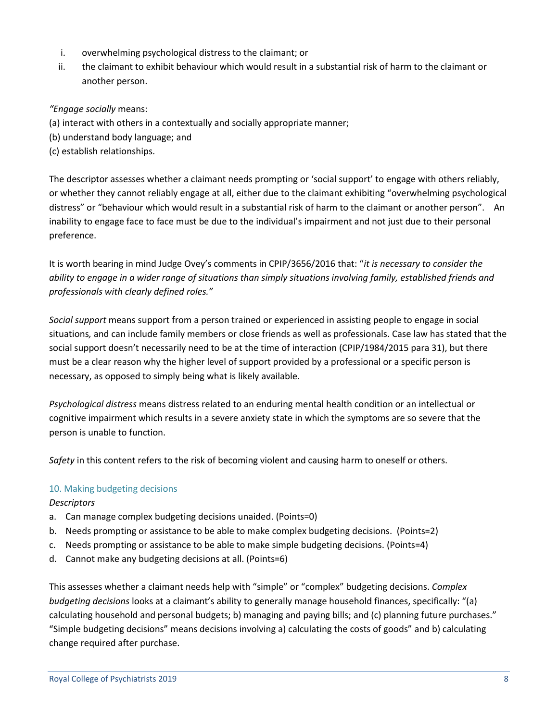- i. overwhelming psychological distress to the claimant; or
- ii. the claimant to exhibit behaviour which would result in a substantial risk of harm to the claimant or another person.

# *"Engage socially* means:

- (a) interact with others in a contextually and socially appropriate manner;
- (b) understand body language; and
- (c) establish relationships.

The descriptor assesses whether a claimant needs prompting or 'social support' to engage with others reliably, or whether they cannot reliably engage at all, either due to the claimant exhibiting "overwhelming psychological distress" or "behaviour which would result in a substantial risk of harm to the claimant or another person". An inability to engage face to face must be due to the individual's impairment and not just due to their personal preference.

It is worth bearing in mind Judge Ovey's comments in CPIP/3656/2016 that: "*it is necessary to consider the ability to engage in a wider range of situations than simply situations involving family, established friends and professionals with clearly defined roles."*

*Social support* means support from a person trained or experienced in assisting people to engage in social situations*,* and can include family members or close friends as well as professionals. Case law has stated that the social support doesn't necessarily need to be at the time of interaction (CPIP/1984/2015 para 31), but there must be a clear reason why the higher level of support provided by a professional or a specific person is necessary, as opposed to simply being what is likely available.

*Psychological distress* means distress related to an enduring mental health condition or an intellectual or cognitive impairment which results in a severe anxiety state in which the symptoms are so severe that the person is unable to function.

*Safety* in this content refers to the risk of becoming violent and causing harm to oneself or others.

### 10. Making budgeting decisions

### *Descriptors*

- a. Can manage complex budgeting decisions unaided. (Points=0)
- b. Needs prompting or assistance to be able to make complex budgeting decisions. (Points=2)
- c. Needs prompting or assistance to be able to make simple budgeting decisions. (Points=4)
- d. Cannot make any budgeting decisions at all. (Points=6)

This assesses whether a claimant needs help with "simple" or "complex" budgeting decisions. *Complex budgeting decisions* looks at a claimant's ability to generally manage household finances, specifically: "(a) calculating household and personal budgets; b) managing and paying bills; and (c) planning future purchases." "Simple budgeting decisions" means decisions involving a) calculating the costs of goods" and b) calculating change required after purchase.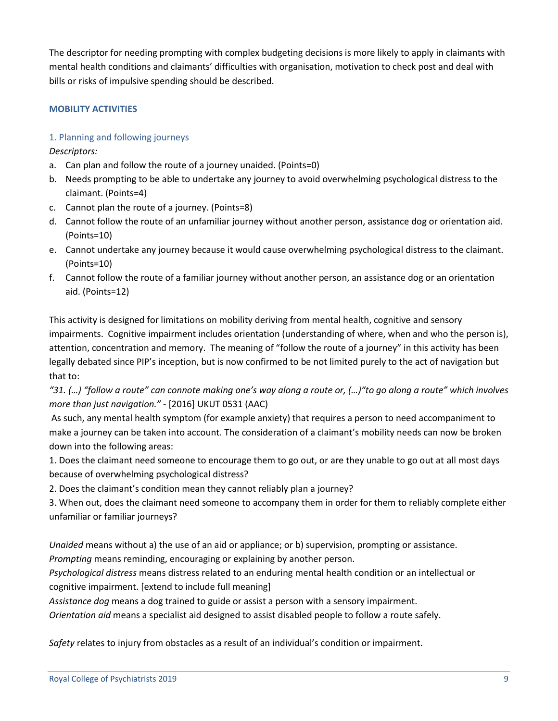The descriptor for needing prompting with complex budgeting decisions is more likely to apply in claimants with mental health conditions and claimants' difficulties with organisation, motivation to check post and deal with bills or risks of impulsive spending should be described.

# **MOBILITY ACTIVITIES**

# 1. Planning and following journeys

*Descriptors:*

- a. Can plan and follow the route of a journey unaided. (Points=0)
- b. Needs prompting to be able to undertake any journey to avoid overwhelming psychological distress to the claimant. (Points=4)
- c. Cannot plan the route of a journey. (Points=8)
- d. Cannot follow the route of an unfamiliar journey without another person, assistance dog or orientation aid. (Points=10)
- e. Cannot undertake any journey because it would cause overwhelming psychological distress to the claimant. (Points=10)
- f. Cannot follow the route of a familiar journey without another person, an assistance dog or an orientation aid. (Points=12)

This activity is designed for limitations on mobility deriving from mental health, cognitive and sensory impairments. Cognitive impairment includes orientation (understanding of where, when and who the person is), attention, concentration and memory. The meaning of "follow the route of a journey" in this activity has been legally debated since PIP's inception, but is now confirmed to be not limited purely to the act of navigation but that to:

*"31. (…) "follow a route" can connote making one's way along a route or, (…)"to go along a route" which involves more than just navigation."* - [2016] UKUT 0531 (AAC)

As such, any mental health symptom (for example anxiety) that requires a person to need accompaniment to make a journey can be taken into account. The consideration of a claimant's mobility needs can now be broken down into the following areas:

1. Does the claimant need someone to encourage them to go out, or are they unable to go out at all most days because of overwhelming psychological distress?

2. Does the claimant's condition mean they cannot reliably plan a journey?

3. When out, does the claimant need someone to accompany them in order for them to reliably complete either unfamiliar or familiar journeys?

*Unaided* means without a) the use of an aid or appliance; or b) supervision, prompting or assistance.

*Prompting* means reminding, encouraging or explaining by another person.

*Psychological distress* means distress related to an enduring mental health condition or an intellectual or cognitive impairment. [extend to include full meaning]

*Assistance dog* means a dog trained to guide or assist a person with a sensory impairment.

*Orientation aid* means a specialist aid designed to assist disabled people to follow a route safely.

*Safety* relates to injury from obstacles as a result of an individual's condition or impairment.